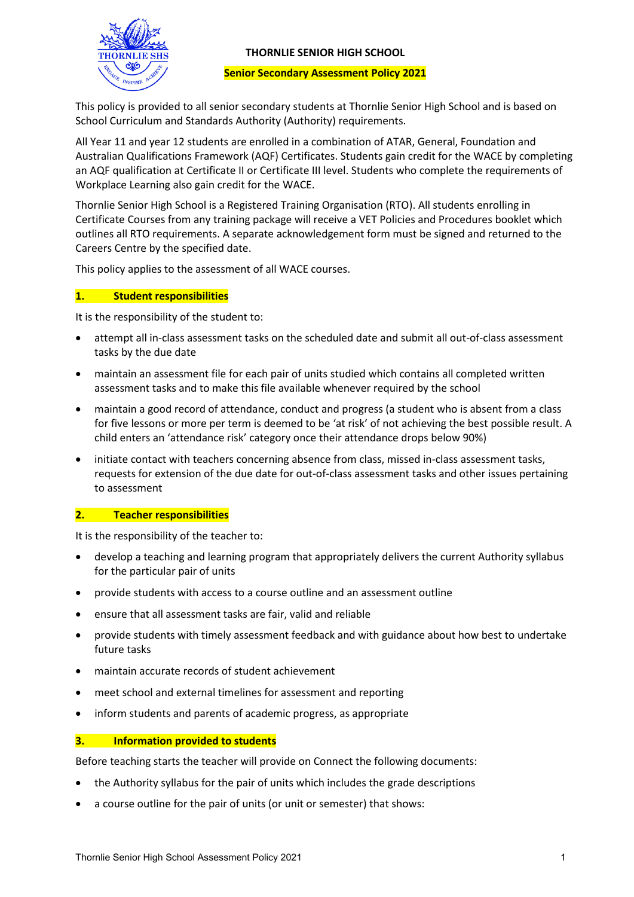

### **THORNLIE SENIOR HIGH SCHOOL**

#### **Senior Secondary Assessment Policy 2021**

This policy is provided to all senior secondary students at Thornlie Senior High School and is based on School Curriculum and Standards Authority (Authority) requirements.

All Year 11 and year 12 students are enrolled in a combination of ATAR, General, Foundation and Australian Qualifications Framework (AQF) Certificates. Students gain credit for the WACE by completing an AQF qualification at Certificate II or Certificate III level. Students who complete the requirements of Workplace Learning also gain credit for the WACE.

Thornlie Senior High School is a Registered Training Organisation (RTO). All students enrolling in Certificate Courses from any training package will receive a VET Policies and Procedures booklet which outlines all RTO requirements. A separate acknowledgement form must be signed and returned to the Careers Centre by the specified date.

This policy applies to the assessment of all WACE courses.

### **1. Student responsibilities**

It is the responsibility of the student to:

- attempt all in-class assessment tasks on the scheduled date and submit all out-of-class assessment tasks by the due date
- maintain an assessment file for each pair of units studied which contains all completed written assessment tasks and to make this file available whenever required by the school
- maintain a good record of attendance, conduct and progress (a student who is absent from a class for five lessons or more per term is deemed to be 'at risk' of not achieving the best possible result. A child enters an 'attendance risk' category once their attendance drops below 90%)
- initiate contact with teachers concerning absence from class, missed in-class assessment tasks, requests for extension of the due date for out-of-class assessment tasks and other issues pertaining to assessment

## **2. Teacher responsibilities**

It is the responsibility of the teacher to:

- develop a teaching and learning program that appropriately delivers the current Authority syllabus for the particular pair of units
- provide students with access to a course outline and an assessment outline
- ensure that all assessment tasks are fair, valid and reliable
- provide students with timely assessment feedback and with guidance about how best to undertake future tasks
- maintain accurate records of student achievement
- meet school and external timelines for assessment and reporting
- inform students and parents of academic progress, as appropriate

## **3. Information provided to students**

Before teaching starts the teacher will provide on Connect the following documents:

- the Authority syllabus for the pair of units which includes the grade descriptions
- a course outline for the pair of units (or unit or semester) that shows: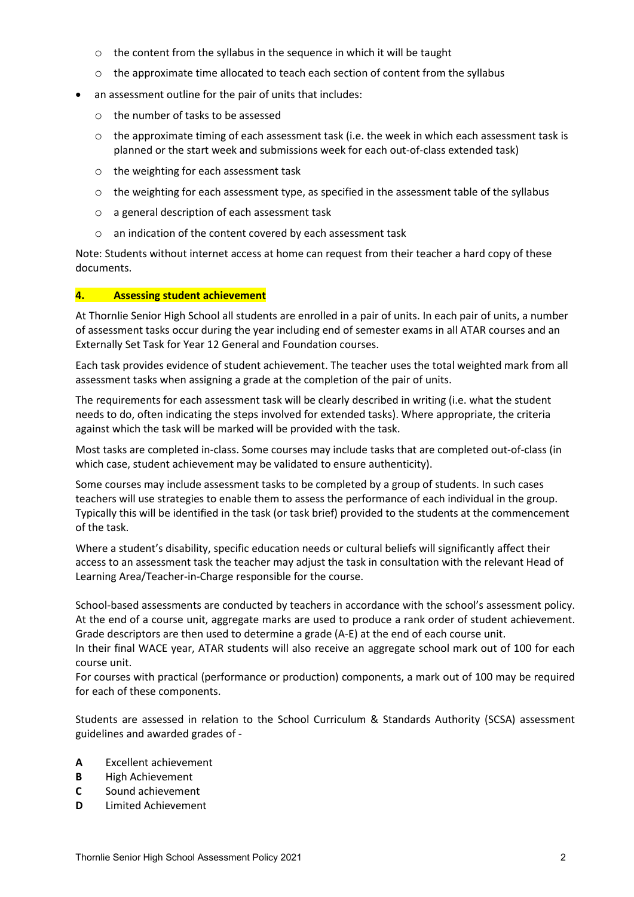- o the content from the syllabus in the sequence in which it will be taught
- $\circ$  the approximate time allocated to teach each section of content from the syllabus
- an assessment outline for the pair of units that includes:
	- o the number of tasks to be assessed
	- o the approximate timing of each assessment task (i.e. the week in which each assessment task is planned or the start week and submissions week for each out-of-class extended task)
	- o the weighting for each assessment task
	- $\circ$  the weighting for each assessment type, as specified in the assessment table of the syllabus
	- o a general description of each assessment task
	- o an indication of the content covered by each assessment task

Note: Students without internet access at home can request from their teacher a hard copy of these documents.

### **4. Assessing student achievement**

At Thornlie Senior High School all students are enrolled in a pair of units. In each pair of units, a number of assessment tasks occur during the year including end of semester exams in all ATAR courses and an Externally Set Task for Year 12 General and Foundation courses.

Each task provides evidence of student achievement. The teacher uses the total weighted mark from all assessment tasks when assigning a grade at the completion of the pair of units.

The requirements for each assessment task will be clearly described in writing (i.e. what the student needs to do, often indicating the steps involved for extended tasks). Where appropriate, the criteria against which the task will be marked will be provided with the task.

Most tasks are completed in-class. Some courses may include tasks that are completed out-of-class (in which case, student achievement may be validated to ensure authenticity).

Some courses may include assessment tasks to be completed by a group of students. In such cases teachers will use strategies to enable them to assess the performance of each individual in the group. Typically this will be identified in the task (or task brief) provided to the students at the commencement of the task.

Where a student's disability, specific education needs or cultural beliefs will significantly affect their access to an assessment task the teacher may adjust the task in consultation with the relevant Head of Learning Area/Teacher-in-Charge responsible for the course.

School-based assessments are conducted by teachers in accordance with the school's assessment policy. At the end of a course unit, aggregate marks are used to produce a rank order of student achievement. Grade descriptors are then used to determine a grade (A-E) at the end of each course unit.

In their final WACE year, ATAR students will also receive an aggregate school mark out of 100 for each course unit.

For courses with practical (performance or production) components, a mark out of 100 may be required for each of these components.

Students are assessed in relation to the School Curriculum & Standards Authority (SCSA) assessment guidelines and awarded grades of -

- **A** Excellent achievement
- **B** High Achievement
- **C** Sound achievement
- **D** Limited Achievement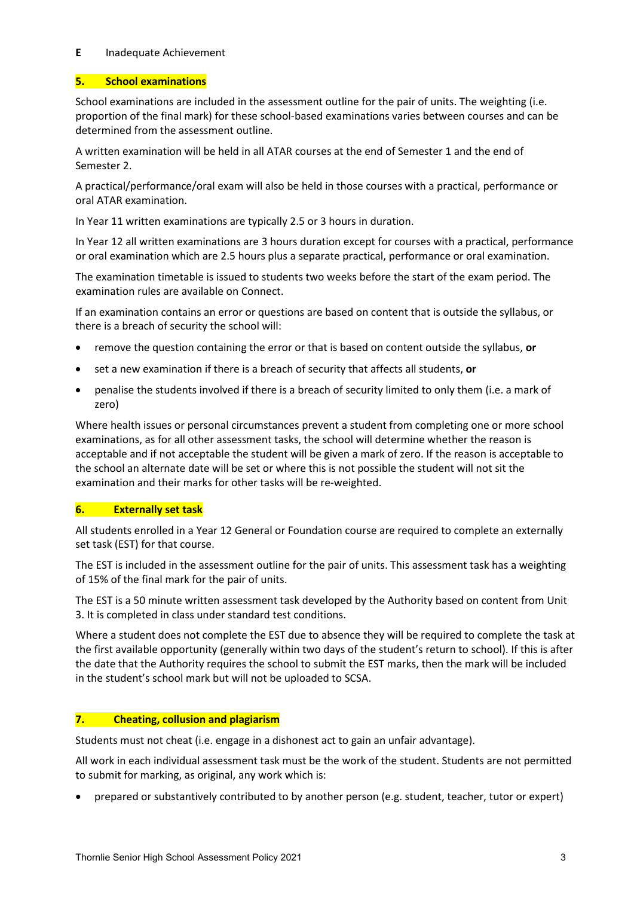### **E** Inadequate Achievement

## **5. School examinations**

School examinations are included in the assessment outline for the pair of units. The weighting (i.e. proportion of the final mark) for these school-based examinations varies between courses and can be determined from the assessment outline.

A written examination will be held in all ATAR courses at the end of Semester 1 and the end of Semester 2.

A practical/performance/oral exam will also be held in those courses with a practical, performance or oral ATAR examination.

In Year 11 written examinations are typically 2.5 or 3 hours in duration.

In Year 12 all written examinations are 3 hours duration except for courses with a practical, performance or oral examination which are 2.5 hours plus a separate practical, performance or oral examination.

The examination timetable is issued to students two weeks before the start of the exam period. The examination rules are available on Connect.

If an examination contains an error or questions are based on content that is outside the syllabus, or there is a breach of security the school will:

- remove the question containing the error or that is based on content outside the syllabus, **or**
- set a new examination if there is a breach of security that affects all students, **or**
- penalise the students involved if there is a breach of security limited to only them (i.e. a mark of zero)

Where health issues or personal circumstances prevent a student from completing one or more school examinations, as for all other assessment tasks, the school will determine whether the reason is acceptable and if not acceptable the student will be given a mark of zero. If the reason is acceptable to the school an alternate date will be set or where this is not possible the student will not sit the examination and their marks for other tasks will be re-weighted.

## **6. Externally set task**

All students enrolled in a Year 12 General or Foundation course are required to complete an externally set task (EST) for that course.

The EST is included in the assessment outline for the pair of units. This assessment task has a weighting of 15% of the final mark for the pair of units.

The EST is a 50 minute written assessment task developed by the Authority based on content from Unit 3. It is completed in class under standard test conditions.

Where a student does not complete the EST due to absence they will be required to complete the task at the first available opportunity (generally within two days of the student's return to school). If this is after the date that the Authority requires the school to submit the EST marks, then the mark will be included in the student's school mark but will not be uploaded to SCSA.

## **7. Cheating, collusion and plagiarism**

Students must not cheat (i.e. engage in a dishonest act to gain an unfair advantage).

All work in each individual assessment task must be the work of the student. Students are not permitted to submit for marking, as original, any work which is:

• prepared or substantively contributed to by another person (e.g. student, teacher, tutor or expert)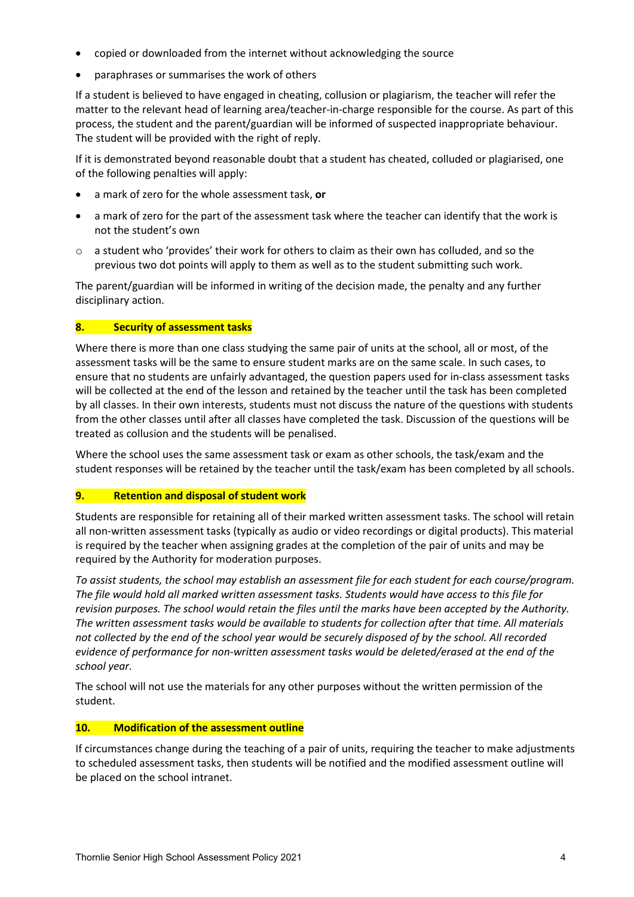- copied or downloaded from the internet without acknowledging the source
- paraphrases or summarises the work of others

If a student is believed to have engaged in cheating, collusion or plagiarism, the teacher will refer the matter to the relevant head of learning area/teacher-in-charge responsible for the course. As part of this process, the student and the parent/guardian will be informed of suspected inappropriate behaviour. The student will be provided with the right of reply.

If it is demonstrated beyond reasonable doubt that a student has cheated, colluded or plagiarised, one of the following penalties will apply:

- a mark of zero for the whole assessment task, **or**
- a mark of zero for the part of the assessment task where the teacher can identify that the work is not the student's own
- $\circ$  a student who 'provides' their work for others to claim as their own has colluded, and so the previous two dot points will apply to them as well as to the student submitting such work.

The parent/guardian will be informed in writing of the decision made, the penalty and any further disciplinary action.

### **8. Security of assessment tasks**

Where there is more than one class studying the same pair of units at the school, all or most, of the assessment tasks will be the same to ensure student marks are on the same scale. In such cases, to ensure that no students are unfairly advantaged, the question papers used for in-class assessment tasks will be collected at the end of the lesson and retained by the teacher until the task has been completed by all classes. In their own interests, students must not discuss the nature of the questions with students from the other classes until after all classes have completed the task. Discussion of the questions will be treated as collusion and the students will be penalised.

Where the school uses the same assessment task or exam as other schools, the task/exam and the student responses will be retained by the teacher until the task/exam has been completed by all schools.

### **9. Retention and disposal of student work**

Students are responsible for retaining all of their marked written assessment tasks. The school will retain all non-written assessment tasks (typically as audio or video recordings or digital products). This material is required by the teacher when assigning grades at the completion of the pair of units and may be required by the Authority for moderation purposes.

*To assist students, the school may establish an assessment file for each student for each course/program. The file would hold all marked written assessment tasks. Students would have access to this file for revision purposes. The school would retain the files until the marks have been accepted by the Authority. The written assessment tasks would be available to students for collection after that time. All materials not collected by the end of the school year would be securely disposed of by the school. All recorded evidence of performance for non-written assessment tasks would be deleted/erased at the end of the school year.*

The school will not use the materials for any other purposes without the written permission of the student.

### **10. Modification of the assessment outline**

If circumstances change during the teaching of a pair of units, requiring the teacher to make adjustments to scheduled assessment tasks, then students will be notified and the modified assessment outline will be placed on the school intranet.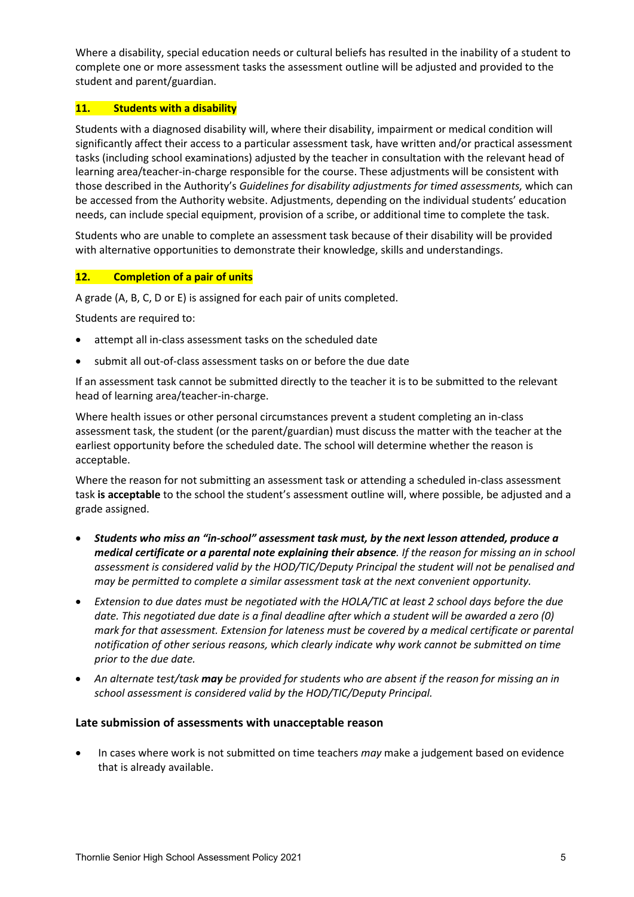Where a disability, special education needs or cultural beliefs has resulted in the inability of a student to complete one or more assessment tasks the assessment outline will be adjusted and provided to the student and parent/guardian.

### **11. Students with a disability**

Students with a diagnosed disability will, where their disability, impairment or medical condition will significantly affect their access to a particular assessment task, have written and/or practical assessment tasks (including school examinations) adjusted by the teacher in consultation with the relevant head of learning area/teacher-in-charge responsible for the course. These adjustments will be consistent with those described in the Authority's *Guidelines for disability adjustments for timed assessments,* which can be accessed from the Authority website. Adjustments, depending on the individual students' education needs, can include special equipment, provision of a scribe, or additional time to complete the task.

Students who are unable to complete an assessment task because of their disability will be provided with alternative opportunities to demonstrate their knowledge, skills and understandings.

### **12. Completion of a pair of units**

A grade (A, B, C, D or E) is assigned for each pair of units completed.

Students are required to:

- attempt all in-class assessment tasks on the scheduled date
- submit all out-of-class assessment tasks on or before the due date

If an assessment task cannot be submitted directly to the teacher it is to be submitted to the relevant head of learning area/teacher-in-charge.

Where health issues or other personal circumstances prevent a student completing an in-class assessment task, the student (or the parent/guardian) must discuss the matter with the teacher at the earliest opportunity before the scheduled date. The school will determine whether the reason is acceptable.

Where the reason for not submitting an assessment task or attending a scheduled in-class assessment task **is acceptable** to the school the student's assessment outline will, where possible, be adjusted and a grade assigned.

- *Students who miss an "in-school" assessment task must, by the next lesson attended, produce a medical certificate or a parental note explaining their absence. If the reason for missing an in school assessment is considered valid by the HOD/TIC/Deputy Principal the student will not be penalised and may be permitted to complete a similar assessment task at the next convenient opportunity.*
- *Extension to due dates must be negotiated with the HOLA/TIC at least 2 school days before the due date. This negotiated due date is a final deadline after which a student will be awarded a zero (0) mark for that assessment. Extension for lateness must be covered by a medical certificate or parental notification of other serious reasons, which clearly indicate why work cannot be submitted on time prior to the due date.*
- *An alternate test/task may be provided for students who are absent if the reason for missing an in school assessment is considered valid by the HOD/TIC/Deputy Principal.*

## **Late submission of assessments with unacceptable reason**

• In cases where work is not submitted on time teachers *may* make a judgement based on evidence that is already available.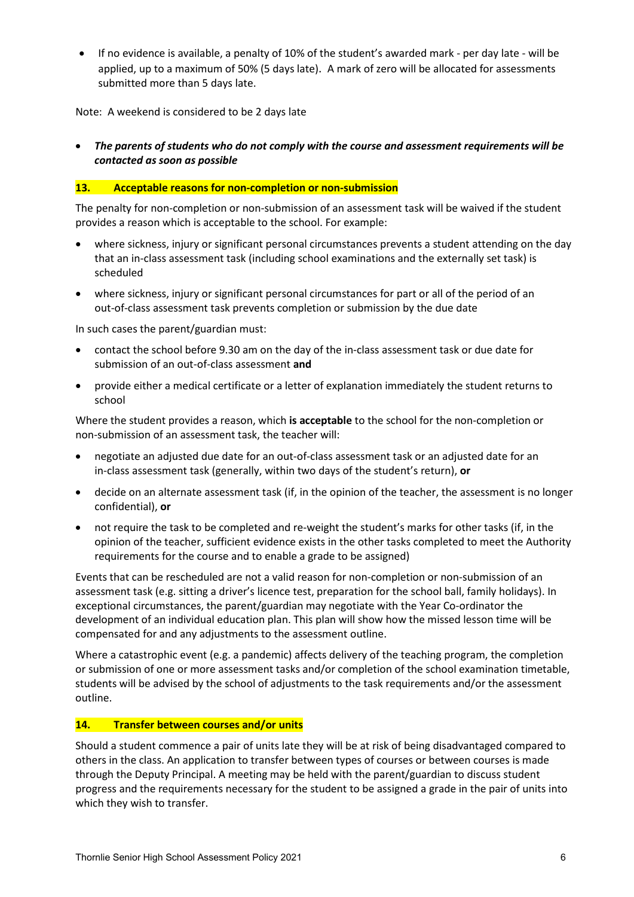• If no evidence is available, a penalty of 10% of the student's awarded mark - per day late - will be applied, up to a maximum of 50% (5 days late). A mark of zero will be allocated for assessments submitted more than 5 days late.

Note: A weekend is considered to be 2 days late

• *The parents of students who do not comply with the course and assessment requirements will be contacted as soon as possible*

#### **13. Acceptable reasons for non-completion or non-submission**

The penalty for non-completion or non-submission of an assessment task will be waived if the student provides a reason which is acceptable to the school. For example:

- where sickness, injury or significant personal circumstances prevents a student attending on the day that an in-class assessment task (including school examinations and the externally set task) is scheduled
- where sickness, injury or significant personal circumstances for part or all of the period of an out-of-class assessment task prevents completion or submission by the due date

In such cases the parent/guardian must:

- contact the school before 9.30 am on the day of the in-class assessment task or due date for submission of an out-of-class assessment **and**
- provide either a medical certificate or a letter of explanation immediately the student returns to school

Where the student provides a reason, which **is acceptable** to the school for the non-completion or non-submission of an assessment task, the teacher will:

- negotiate an adjusted due date for an out-of-class assessment task or an adjusted date for an in-class assessment task (generally, within two days of the student's return), **or**
- decide on an alternate assessment task (if, in the opinion of the teacher, the assessment is no longer confidential), **or**
- not require the task to be completed and re-weight the student's marks for other tasks (if, in the opinion of the teacher, sufficient evidence exists in the other tasks completed to meet the Authority requirements for the course and to enable a grade to be assigned)

Events that can be rescheduled are not a valid reason for non-completion or non-submission of an assessment task (e.g. sitting a driver's licence test, preparation for the school ball, family holidays). In exceptional circumstances, the parent/guardian may negotiate with the Year Co-ordinator the development of an individual education plan. This plan will show how the missed lesson time will be compensated for and any adjustments to the assessment outline.

Where a catastrophic event (e.g. a pandemic) affects delivery of the teaching program, the completion or submission of one or more assessment tasks and/or completion of the school examination timetable, students will be advised by the school of adjustments to the task requirements and/or the assessment outline.

### **14. Transfer between courses and/or units**

Should a student commence a pair of units late they will be at risk of being disadvantaged compared to others in the class. An application to transfer between types of courses or between courses is made through the Deputy Principal. A meeting may be held with the parent/guardian to discuss student progress and the requirements necessary for the student to be assigned a grade in the pair of units into which they wish to transfer.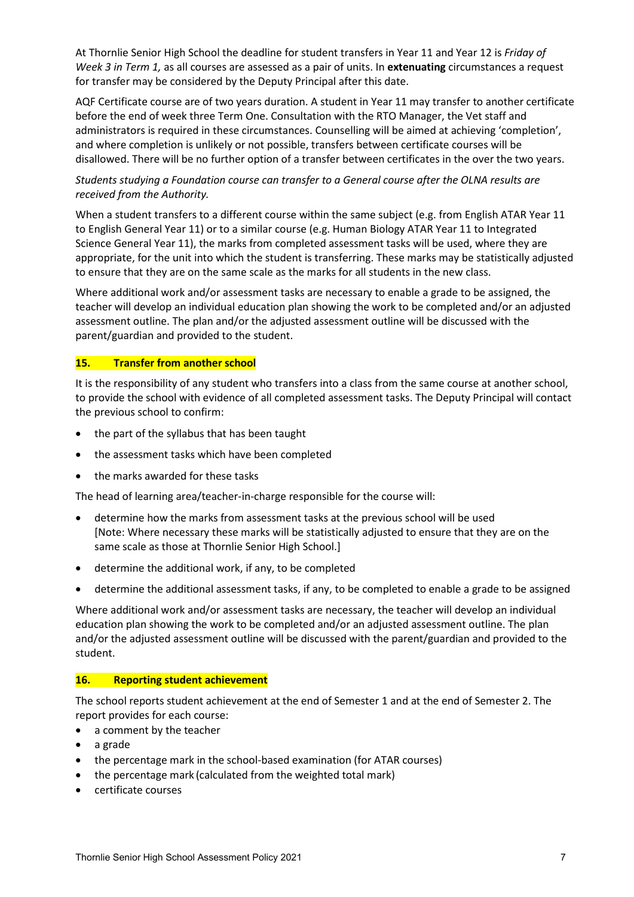At Thornlie Senior High School the deadline for student transfers in Year 11 and Year 12 is *Friday of Week 3 in Term 1,* as all courses are assessed as a pair of units. In **extenuating** circumstances a request for transfer may be considered by the Deputy Principal after this date.

AQF Certificate course are of two years duration. A student in Year 11 may transfer to another certificate before the end of week three Term One. Consultation with the RTO Manager, the Vet staff and administrators is required in these circumstances. Counselling will be aimed at achieving 'completion', and where completion is unlikely or not possible, transfers between certificate courses will be disallowed. There will be no further option of a transfer between certificates in the over the two years.

# *Students studying a Foundation course can transfer to a General course after the OLNA results are received from the Authority.*

When a student transfers to a different course within the same subject (e.g. from English ATAR Year 11 to English General Year 11) or to a similar course (e.g. Human Biology ATAR Year 11 to Integrated Science General Year 11), the marks from completed assessment tasks will be used, where they are appropriate, for the unit into which the student is transferring. These marks may be statistically adjusted to ensure that they are on the same scale as the marks for all students in the new class.

Where additional work and/or assessment tasks are necessary to enable a grade to be assigned, the teacher will develop an individual education plan showing the work to be completed and/or an adjusted assessment outline. The plan and/or the adjusted assessment outline will be discussed with the parent/guardian and provided to the student.

## **15. Transfer from another school**

It is the responsibility of any student who transfers into a class from the same course at another school, to provide the school with evidence of all completed assessment tasks. The Deputy Principal will contact the previous school to confirm:

- the part of the syllabus that has been taught
- the assessment tasks which have been completed
- the marks awarded for these tasks

The head of learning area/teacher-in-charge responsible for the course will:

- determine how the marks from assessment tasks at the previous school will be used [Note: Where necessary these marks will be statistically adjusted to ensure that they are on the same scale as those at Thornlie Senior High School.]
- determine the additional work, if any, to be completed
- determine the additional assessment tasks, if any, to be completed to enable a grade to be assigned

Where additional work and/or assessment tasks are necessary, the teacher will develop an individual education plan showing the work to be completed and/or an adjusted assessment outline. The plan and/or the adjusted assessment outline will be discussed with the parent/guardian and provided to the student.

### **16. Reporting student achievement**

The school reports student achievement at the end of Semester 1 and at the end of Semester 2. The report provides for each course:

- a comment by the teacher
- a grade
- the percentage mark in the school-based examination (for ATAR courses)
- the percentage mark (calculated from the weighted total mark)
- certificate courses